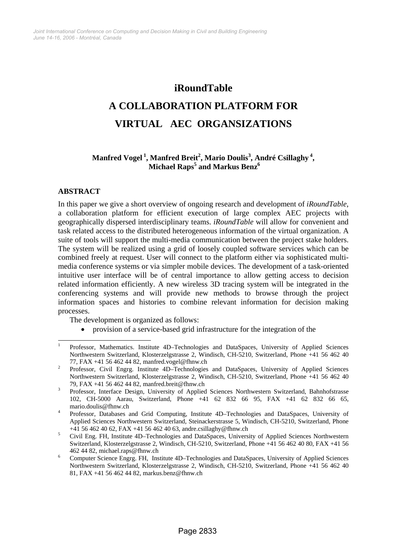# **iRoundTable A COLLABORATION PLATFORM FOR VIRTUAL AEC ORGANSIZATIONS**

# **Manfred Vogel 1, Manfred Breit2 , Mario Doulis3 , André Csillaghy 4, Michael Raps<sup>5</sup> and Markus Benz<sup>6</sup>**

# **ABSTRACT**

 $\overline{a}$ 

In this paper we give a short overview of ongoing research and development of *iRoundTable*, a collaboration platform for efficient execution of large complex AEC projects with geographically dispersed interdisciplinary teams. *iRoundTable* will allow for convenient and task related access to the distributed heterogeneous information of the virtual organization. A suite of tools will support the multi-media communication between the project stake holders. The system will be realized using a grid of loosely coupled software services which can be combined freely at request. User will connect to the platform either via sophisticated multimedia conference systems or via simpler mobile devices. The development of a task-oriented intuitive user interface will be of central importance to allow getting access to decision related information efficiently. A new wireless 3D tracing system will be integrated in the conferencing systems and will provide new methods to browse through the project information spaces and histories to combine relevant information for decision making processes.

The development is organized as follows:

• provision of a service-based grid infrastructure for the integration of the

<sup>1</sup> Professor, Mathematics. Institute 4D–Technologies and DataSpaces, University of Applied Sciences Northwestern Switzerland, Klosterzelgstrasse 2, Windisch, CH-5210, Switzerland, Phone +41 56 462 40 77, FAX +41 56 462 44 82, manfred.vogel@fhnw.ch 2

Professor, Civil Engrg. Institute 4D–Technologies and DataSpaces, University of Applied Sciences Northwestern Switzerland, Klosterzelgstrasse 2, Windisch, CH-5210, Switzerland, Phone +41 56 462 40 79, FAX +41 56 462 44 82, manfred.breit@fhnw.ch 3

Professor, Interface Design, University of Applied Sciences Northwestern Switzerland, Bahnhofstrasse 102, CH-5000 Aarau, Switzerland, Phone +41 62 832 66 95, FAX +41 62 832 66 65, mario.doulis@fhnw.ch

Professor, Databases and Grid Computing, Institute 4D–Technologies and DataSpaces, University of Applied Sciences Northwestern Switzerland, Steinackerstrasse 5, Windisch, CH-5210, Switzerland, Phone +41 56 462 40 62, FAX +41 56 462 40 63, andre.csillaghy@fhnw.ch 5

Civil Eng. FH, Institute 4D–Technologies and DataSpaces, University of Applied Sciences Northwestern Switzerland, Klosterzelgstrasse 2, Windisch, CH-5210, Switzerland, Phone +41 56 462 40 80, FAX +41 56 462 44 82, michael.raps@fhnw.ch 6

Computer Science Engrg. FH, Institute 4D–Technologies and DataSpaces, University of Applied Sciences Northwestern Switzerland, Klosterzelgstrasse 2, Windisch, CH-5210, Switzerland, Phone +41 56 462 40 81, FAX +41 56 462 44 82, markus.benz@fhnw.ch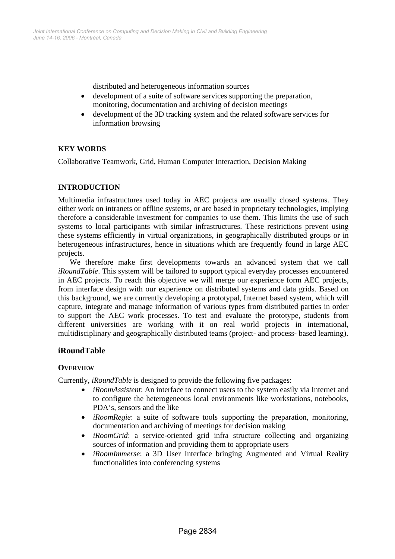distributed and heterogeneous information sources

- development of a suite of software services supporting the preparation, monitoring, documentation and archiving of decision meetings
- development of the 3D tracking system and the related software services for information browsing

# **KEY WORDS**

Collaborative Teamwork, Grid, Human Computer Interaction, Decision Making

# **INTRODUCTION**

Multimedia infrastructures used today in AEC projects are usually closed systems. They either work on intranets or offline systems, or are based in proprietary technologies, implying therefore a considerable investment for companies to use them. This limits the use of such systems to local participants with similar infrastructures. These restrictions prevent using these systems efficiently in virtual organizations, in geographically distributed groups or in heterogeneous infrastructures, hence in situations which are frequently found in large AEC projects.

We therefore make first developments towards an advanced system that we call *iRoundTable*. This system will be tailored to support typical everyday processes encountered in AEC projects. To reach this objective we will merge our experience form AEC projects, from interface design with our experience on distributed systems and data grids. Based on this background, we are currently developing a prototypal, Internet based system, which will capture, integrate and manage information of various types from distributed parties in order to support the AEC work processes. To test and evaluate the prototype, students from different universities are working with it on real world projects in international, multidisciplinary and geographically distributed teams (project- and process- based learning).

# **iRoundTable**

# **OVERVIEW**

Currently, *iRoundTable* is designed to provide the following five packages:

- *iRoomAssistent*: An interface to connect users to the system easily via Internet and to configure the heterogeneous local environments like workstations, notebooks, PDA's, sensors and the like
- *iRoomRegie*: a suite of software tools supporting the preparation, monitoring, documentation and archiving of meetings for decision making
- *iRoomGrid*: a service-oriented grid infra structure collecting and organizing sources of information and providing them to appropriate users
- *iRoomImmerse*: a 3D User Interface bringing Augmented and Virtual Reality functionalities into conferencing systems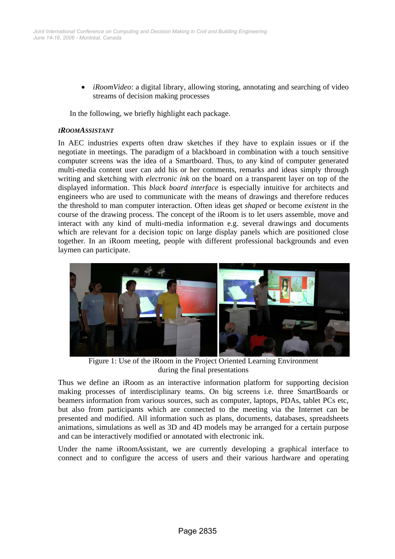• *iRoomVideo*: a digital library, allowing storing, annotating and searching of video streams of decision making processes

In the following, we briefly highlight each package.

#### *IROOMASSISTANT*

In AEC industries experts often draw sketches if they have to explain issues or if the negotiate in meetings. The paradigm of a blackboard in combination with a touch sensitive computer screens was the idea of a Smartboard. Thus, to any kind of computer generated multi-media content user can add his or her comments, remarks and ideas simply through writing and sketching with *electronic ink* on the board on a transparent layer on top of the displayed information. This *black board interface* is especially intuitive for architects and engineers who are used to communicate with the means of drawings and therefore reduces the threshold to man computer interaction. Often ideas get *shaped* or become *existent* in the course of the drawing process. The concept of the iRoom is to let users assemble, move and interact with any kind of multi-media information e.g. several drawings and documents which are relevant for a decision topic on large display panels which are positioned close together. In an iRoom meeting, people with different professional backgrounds and even laymen can participate.



Figure 1: Use of the iRoom in the Project Oriented Learning Environment during the final presentations

Thus we define an iRoom as an interactive information platform for supporting decision making processes of interdisciplinary teams. On big screens i.e. three SmartBoards or beamers information from various sources, such as computer, laptops, PDAs, tablet PCs etc, but also from participants which are connected to the meeting via the Internet can be presented and modified. All information such as plans, documents, databases, spreadsheets animations, simulations as well as 3D and 4D models may be arranged for a certain purpose and can be interactively modified or annotated with electronic ink.

Under the name iRoomAssistant, we are currently developing a graphical interface to connect and to configure the access of users and their various hardware and operating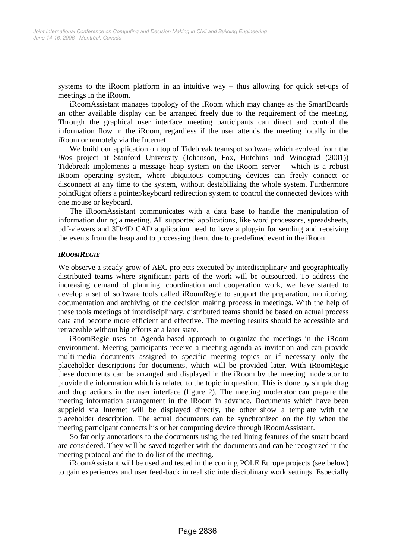systems to the iRoom platform in an intuitive way – thus allowing for quick set-ups of meetings in the iRoom.

iRoomAssistant manages topology of the iRoom which may change as the SmartBoards an other available display can be arranged freely due to the requirement of the meeting. Through the graphical user interface meeting participants can direct and control the information flow in the iRoom, regardless if the user attends the meeting locally in the iRoom or remotely via the Internet.

We build our application on top of Tidebreak teamspot software which evolved from the *iRos* project at Stanford University (Johanson, Fox, Hutchins and Winograd (2001)) Tidebreak implements a message heap system on the iRoom server – which is a robust iRoom operating system, where ubiquitous computing devices can freely connect or disconnect at any time to the system, without destabilizing the whole system. Furthermore pointRight offers a pointer/keyboard redirection system to control the connected devices with one mouse or keyboard.

The iRoomAssistant communicates with a data base to handle the manipulation of information during a meeting. All supported applications, like word processors, spreadsheets, pdf-viewers and 3D/4D CAD application need to have a plug-in for sending and receiving the events from the heap and to processing them, due to predefined event in the iRoom.

#### *IROOMREGIE*

We observe a steady grow of AEC projects executed by interdisciplinary and geographically distributed teams where significant parts of the work will be outsourced. To address the increasing demand of planning, coordination and cooperation work, we have started to develop a set of software tools called iRoomRegie to support the preparation, monitoring, documentation and archiving of the decision making process in meetings. With the help of these tools meetings of interdisciplinary, distributed teams should be based on actual process data and become more efficient and effective. The meeting results should be accessible and retraceable without big efforts at a later state.

iRoomRegie uses an Agenda-based approach to organize the meetings in the iRoom environment. Meeting participants receive a meeting agenda as invitation and can provide multi-media documents assigned to specific meeting topics or if necessary only the placeholder descriptions for documents, which will be provided later. With iRoomRegie these documents can be arranged and displayed in the iRoom by the meeting moderator to provide the information which is related to the topic in question. This is done by simple drag and drop actions in the user interface (figure 2). The meeting moderator can prepare the meeting information arrangement in the iRoom in advance. Documents which have been suppield via Internet will be displayed directly, the other show a template with the placeholder description. The actual documents can be synchronized on the fly when the meeting participant connects his or her computing device through iRoomAssistant.

So far only annotations to the documents using the red lining features of the smart board are considered. They will be saved together with the documents and can be recognized in the meeting protocol and the to-do list of the meeting.

iRoomAssistant will be used and tested in the coming POLE Europe projects (see below) to gain experiences and user feed-back in realistic interdisciplinary work settings. Especially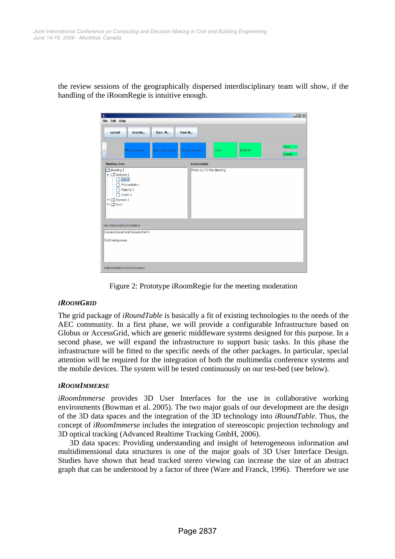

the review sessions of the geographically dispersed interdisciplinary team will show, if the handling of the iRoomRegie is intuitive enough.

Figure 2: Prototype iRoomRegie for the meeting moderation

# *IROOMGRID*

The grid package of *iRoundTable* is basically a fit of existing technologies to the needs of the AEC community. In a first phase, we will provide a configurable Infrastructure based on Globus or AccessGrid, which are generic middleware systems designed for this purpose. In a second phase, we will expand the infrastructure to support basic tasks. In this phase the infrastructure will be fitted to the specific needs of the other packages. In particular, special attention will be required for the integration of both the multimedia conference systems and the mobile devices. The system will be tested continuously on our test-bed (see below).

# *IROOMIMMERSE*

*iRoomImmerse* provides 3D User Interfaces for the use in collaborative working environments (Bowman et al. 2005). The two major goals of our development are the design of the 3D data spaces and the integration of the 3D technology into *iRoundTable*. Thus, the concept of *iRoomImmerse* includes the integration of stereoscopic projection technology and 3D optical tracking (Advanced Realtime Tracking GmbH, 2006).

3D data spaces: Providing understanding and insight of heterogeneous information and multidimensional data structures is one of the major goals of 3D User Interface Design. Studies have shown that head tracked stereo viewing can increase the size of an abstract graph that can be understood by a factor of three (Ware and Franck, 1996). Therefore we use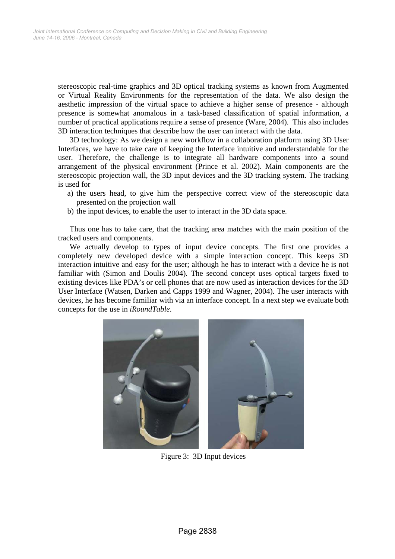stereoscopic real-time graphics and 3D optical tracking systems as known from Augmented or Virtual Reality Environments for the representation of the data. We also design the aesthetic impression of the virtual space to achieve a higher sense of presence - although presence is somewhat anomalous in a task-based classification of spatial information, a number of practical applications require a sense of presence (Ware, 2004). This also includes 3D interaction techniques that describe how the user can interact with the data.

3D technology: As we design a new workflow in a collaboration platform using 3D User Interfaces, we have to take care of keeping the Interface intuitive and understandable for the user. Therefore, the challenge is to integrate all hardware components into a sound arrangement of the physical environment (Prince et al. 2002). Main components are the stereoscopic projection wall, the 3D input devices and the 3D tracking system. The tracking is used for

- a) the users head, to give him the perspective correct view of the stereoscopic data presented on the projection wall
- b) the input devices, to enable the user to interact in the 3D data space.

Thus one has to take care, that the tracking area matches with the main position of the tracked users and components.

We actually develop to types of input device concepts. The first one provides a completely new developed device with a simple interaction concept. This keeps 3D interaction intuitive and easy for the user; although he has to interact with a device he is not familiar with (Simon and Doulis 2004). The second concept uses optical targets fixed to existing devices like PDA's or cell phones that are now used as interaction devices for the 3D User Interface (Watsen, Darken and Capps 1999 and Wagner, 2004). The user interacts with devices, he has become familiar with via an interface concept. In a next step we evaluate both concepts for the use in *iRoundTable*.



Figure 3: 3D Input devices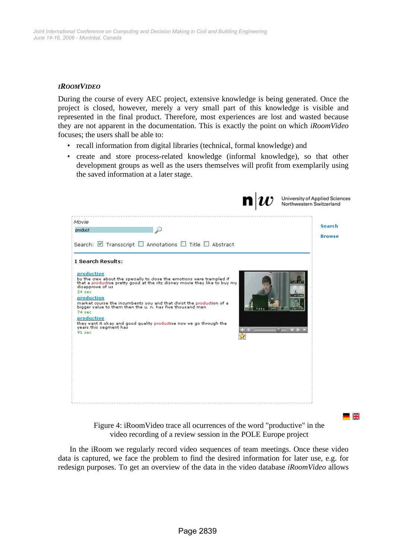#### *IROOMVIDEO*

During the course of every AEC project, extensive knowledge is being generated. Once the project is closed, however, merely a very small part of this knowledge is visible and represented in the final product. Therefore, most experiences are lost and wasted because they are not apparent in the documentation. This is exactly the point on which *iRoomVideo* focuses; the users shall be able to:

- recall information from digital libraries (technical, formal knowledge) and
- create and store process-related knowledge (informal knowledge), so that other development groups as well as the users themselves will profit from exemplarily using the saved information at a later stage.

|                                                                                                                                                                                                                                                                                                                                                                                                                                                                                                                                    | University of Applied Sciences<br>Northwestern Switzerland |
|------------------------------------------------------------------------------------------------------------------------------------------------------------------------------------------------------------------------------------------------------------------------------------------------------------------------------------------------------------------------------------------------------------------------------------------------------------------------------------------------------------------------------------|------------------------------------------------------------|
| Movie<br>product                                                                                                                                                                                                                                                                                                                                                                                                                                                                                                                   | <b>Search</b><br><b>Browse</b>                             |
| Search: ☑ Transscript □ Annotations □ Title □ Abstract<br>1 Search Results:                                                                                                                                                                                                                                                                                                                                                                                                                                                        |                                                            |
| productive<br>by the crew about the specially to close the emotions were trampled if<br>that a productive pretty good at the ritz disney movie they like to buy my<br>disapprove of us<br>24 <sub>sec</sub><br>production<br>market course the incumbents you and that christ the production of a<br>bigger value to them then the u. n. has five thousand men-<br>71112<br>Diserber<br>74 <sub>sec</sub><br>productive<br>they want it okay and good quality productive now we go through the<br>years this segment has<br>91 sec | 124 HA<br>201 (a) 01<br>Ambas Para<br><b>ALLEY</b>         |

Figure 4: iRoomVideo trace all ocurrences of the word "productive" in the video recording of a review session in the POLE Europe project

— अ≭

In the iRoom we regularly record video sequences of team meetings. Once these video data is captured, we face the problem to find the desired information for later use, e.g. for redesign purposes. To get an overview of the data in the video database *iRoomVideo* allows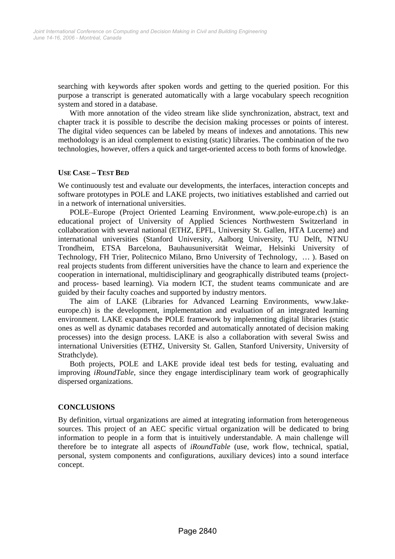searching with keywords after spoken words and getting to the queried position. For this purpose a transcript is generated automatically with a large vocabulary speech recognition system and stored in a database.

With more annotation of the video stream like slide synchronization, abstract, text and chapter track it is possible to describe the decision making processes or points of interest. The digital video sequences can be labeled by means of indexes and annotations. This new methodology is an ideal complement to existing (static) libraries. The combination of the two technologies, however, offers a quick and target-oriented access to both forms of knowledge.

# **USE CASE – TEST BED**

We continuously test and evaluate our developments, the interfaces, interaction concepts and software prototypes in POLE and LAKE projects, two initiatives established and carried out in a network of international universities.

POLE–Europe (Project Oriented Learning Environment, www.pole-europe.ch) is an educational project of University of Applied Sciences Northwestern Switzerland in collaboration with several national (ETHZ, EPFL, University St. Gallen, HTA Lucerne) and international universities (Stanford University, Aalborg University, TU Delft, NTNU Trondheim, ETSA Barcelona, Bauhausuniversität Weimar, Helsinki University of Technology, FH Trier, Politecnico Milano, Brno University of Technology, … ). Based on real projects students from different universities have the chance to learn and experience the cooperation in international, multidisciplinary and geographically distributed teams (projectand process- based learning). Via modern ICT, the student teams communicate and are guided by their faculty coaches and supported by industry mentors.

The aim of LAKE (Libraries for Advanced Learning Environments, www.lakeeurope.ch) is the development, implementation and evaluation of an integrated learning environment. LAKE expands the POLE framework by implementing digital libraries (static ones as well as dynamic databases recorded and automatically annotated of decision making processes) into the design process. LAKE is also a collaboration with several Swiss and international Universities (ETHZ, University St. Gallen, Stanford University, University of Strathclyde).

Both projects, POLE and LAKE provide ideal test beds for testing, evaluating and improving *iRoundTable*, since they engage interdisciplinary team work of geographically dispersed organizations.

# **CONCLUSIONS**

By definition, virtual organizations are aimed at integrating information from heterogeneous sources. This project of an AEC specific virtual organization will be dedicated to bring information to people in a form that is intuitively understandable. A main challenge will therefore be to integrate all aspects of *iRoundTable* (use, work flow, technical, spatial, personal, system components and configurations, auxiliary devices) into a sound interface concept.